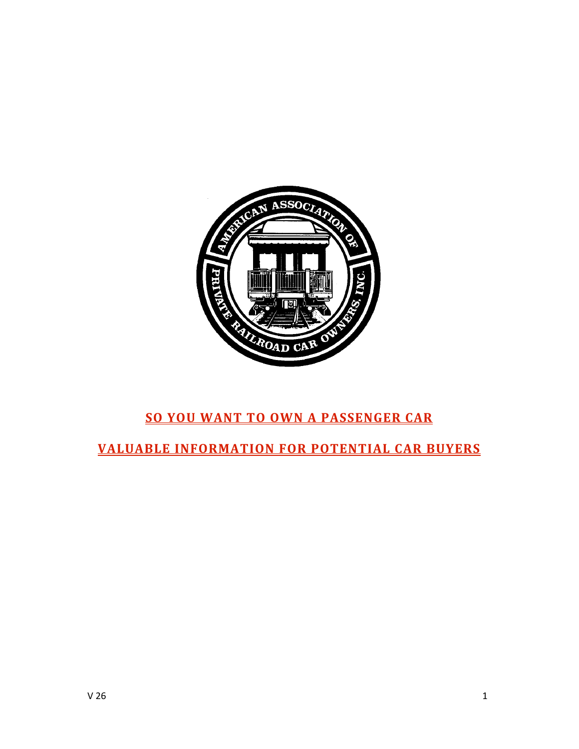

# **SO
YOU
WANT
TO
OWN
A
PASSENGER
CAR**

# **VALUABLE
INFORMATION
FOR
POTENTIAL
CAR
BUYERS**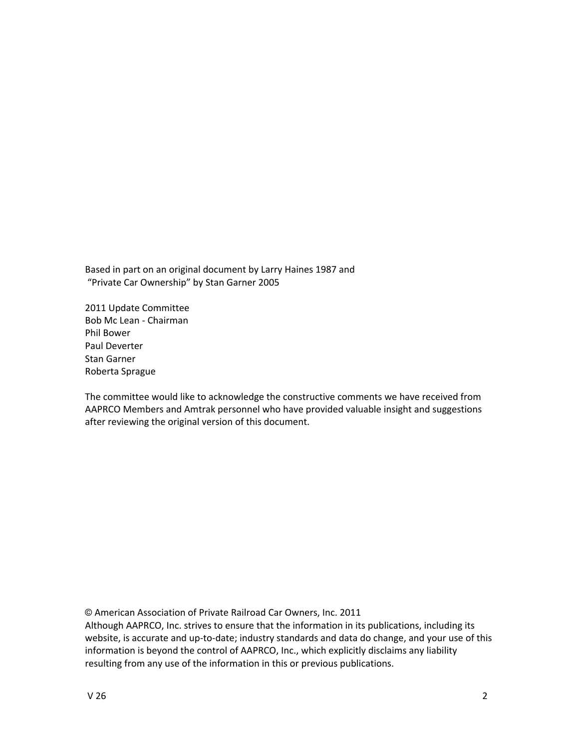Based
in
part on
an
original
document
by
Larry
Haines
1987
and "Private
Car
Ownership"
by
Stan
Garner
2005

2011
Update
Committee Bob
Mc
Lean
‐
Chairman Phil
Bower Paul
Deverter Stan
Garner Roberta
Sprague

The committee would like to acknowledge the constructive comments we have received from AAPRCO Members and Amtrak personnel who have provided valuable insight and suggestions after
reviewing
the
original
version
of
this
document.

© American
Association
of
Private
Railroad
Car
Owners,
Inc.
2011

Although
AAPRCO,
Inc.
strives
to
ensure
that
the
information
in
its
publications,
including
its website, is accurate and up-to-date; industry standards and data do change, and your use of this information is beyond the control of AAPRCO, Inc., which explicitly disclaims any liability resulting from any use of the information in this or previous publications.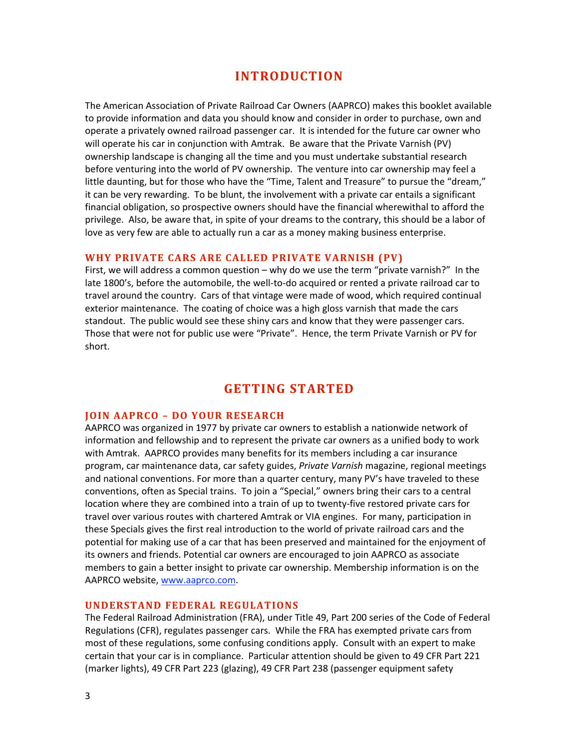## **INTRODUCTION**

The American Association of Private Railroad Car Owners (AAPRCO) makes this booklet available to provide information and data you should know and consider in order to purchase, own and operate a privately owned railroad passenger car. It is intended for the future car owner who will operate his car in conjunction with Amtrak. Be aware that the Private Varnish (PV) ownership landscape is changing all the time and you must undertake substantial research before venturing into the world of PV ownership. The venture into car ownership may feel a little daunting, but for those who have the "Time, Talent and Treasure" to pursue the "dream," it can be very rewarding. To be blunt, the involvement with a private car entails a significant financial obligation, so prospective owners should have the financial wherewithal to afford the privilege. Also, be aware that, in spite of your dreams to the contrary, this should be a labor of love as very few are able to actually run a car as a money making business enterprise.

## WHY PRIVATE CARS ARE CALLED PRIVATE VARNISH (PV)

First, we will address a common question - why do we use the term "private varnish?" In the late 1800's, before the automobile, the well-to-do acquired or rented a private railroad car to travel around the country. Cars of that vintage were made of wood, which required continual exterior maintenance. The coating of choice was a high gloss varnish that made the cars standout. The public would see these shiny cars and know that they were passenger cars. Those that were not for public use were "Private". Hence, the term Private Varnish or PV for short.

## **GETTING
STARTED**

## **JOIN
AAPRCO
–
DO
YOUR
RESEARCH**

AAPRCO was organized in 1977 by private car owners to establish a nationwide network of information and fellowship and to represent the private car owners as a unified body to work with Amtrak. AAPRCO provides many benefits for its members including a car insurance program,
car
maintenance
data,
car
safety
guides, *Private
Varnish*magazine,
regional
meetings and national conventions. For more than a quarter century, many PV's have traveled to these conventions, often as Special trains. To join a "Special," owners bring their cars to a central location where they are combined into a train of up to twenty-five restored private cars for travel over various routes with chartered Amtrak or VIA engines. For many, participation in these Specials gives the first real introduction to the world of private railroad cars and the potential
for
making
use
of
a
car
that
has
been
preserved
and
maintained
for
the
enjoyment
of its
owners
and
friends.
Potential
car
owners
are
encouraged
to
join
AAPRCO
as
associate members to gain a better insight to private car ownership. Membership information is on the AAPRCO website, www.aaprco.com.

## **UNDERSTAND
FEDERAL
REGULATIONS**

The Federal Railroad Administration (FRA), under Title 49, Part 200 series of the Code of Federal Regulations (CFR), regulates passenger cars. While the FRA has exempted private cars from most of these regulations, some confusing conditions apply. Consult with an expert to make certain that your car is in compliance. Particular attention should be given to 49 CFR Part 221 (marker
lights),
49
CFR
Part
223
(glazing),
49
CFR
Part
238
(passenger
equipment
safety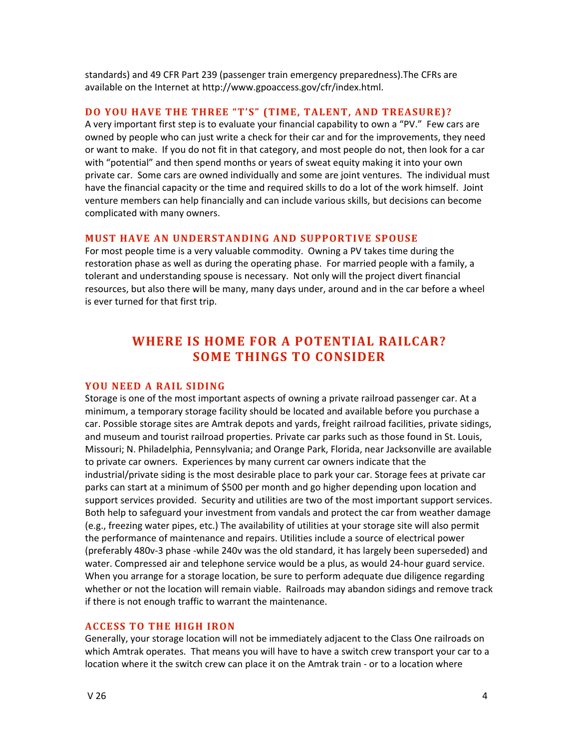standards)
and
49
CFR
Part
239
(passenger
train
emergency
preparedness).The
CFRs
are available
on
the
Internet
at http://www.gpoaccess.gov/cfr/index.html.

## DO YOU HAVE THE THREE "T'S" (TIME, TALENT, AND TREASURE)?

A very important first step is to evaluate your financial capability to own a "PV." Few cars are owned by people who can just write a check for their car and for the improvements, they need or want to make. If you do not fit in that category, and most people do not, then look for a car with "potential" and then spend months or years of sweat equity making it into your own private car. Some cars are owned individually and some are joint ventures. The individual must have the financial capacity or the time and required skills to do a lot of the work himself. Joint venture members can help financially and can include various skills, but decisions can become complicated
with
many
owners.

#### **MUST HAVE AN UNDERSTANDING AND SUPPORTIVE SPOUSE**

For most people time is a very valuable commodity. Owning a PV takes time during the restoration phase as well as during the operating phase. For married people with a family, a tolerant and understanding spouse is necessary. Not only will the project divert financial resources, but also there will be many, many days under, around and in the car before a wheel is
ever
turned
for
that
first
trip.

# WHERE IS HOME FOR A POTENTIAL RAILCAR? **SOME
THINGS
TO
CONSIDER**

#### YOU NEED A RAIL SIDING

Storage is one of the most important aspects of owning a private railroad passenger car. At a minimum, a temporary storage facility should be located and available before you purchase a car. Possible storage sites are Amtrak depots and vards, freight railroad facilities, private sidings, and museum and tourist railroad properties. Private car parks such as those found in St. Louis, Missouri; N. Philadelphia, Pennsylvania; and Orange Park, Florida, near Jacksonville are available to private car owners. Experiences by many current car owners indicate that the industrial/private siding is the most desirable place to park your car. Storage fees at private car parks
can
start
at
a
minimum
of
\$500
per
month
and
go
higher
depending
upon
location
and support services provided. Security and utilities are two of the most important support services. Both help to safeguard your investment from vandals and protect the car from weather damage (e.g., freezing water pipes, etc.) The availability of utilities at your storage site will also permit the performance of maintenance and repairs. Utilities include a source of electrical power (preferably
480v‐3
phase
‐while
240v
was
the
old
standard,
it
has
largely
been
superseded)
and water. Compressed air and telephone service would be a plus, as would 24-hour guard service. When you arrange for a storage location, be sure to perform adequate due diligence regarding whether or not the location will remain viable. Railroads may abandon sidings and remove track if
there
is
not
enough
traffic
to
warrant
the
maintenance.

## **ACCESS
TO
THE
HIGH
IRON**

Generally, your storage location will not be immediately adjacent to the Class One railroads on which Amtrak operates. That means you will have to have a switch crew transport your car to a location where it the switch crew can place it on the Amtrak train - or to a location where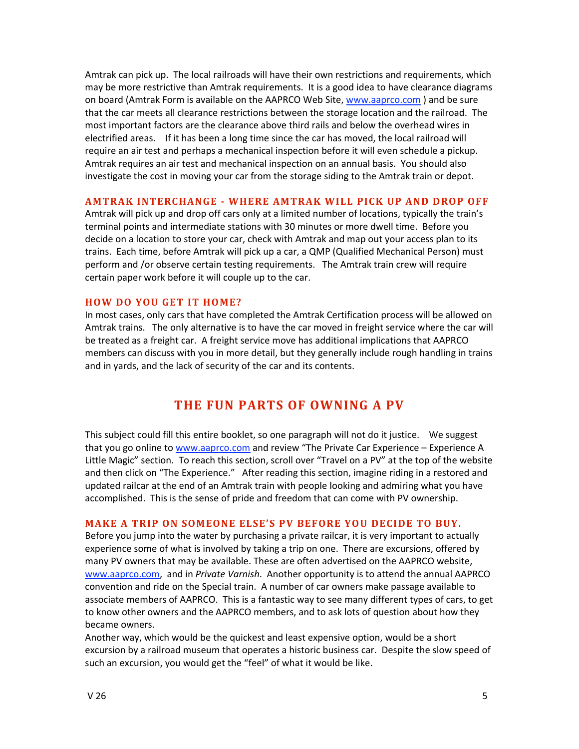Amtrak can pick up. The local railroads will have their own restrictions and requirements, which may be more restrictive than Amtrak requirements. It is a good idea to have clearance diagrams on board (Amtrak Form is available on the AAPRCO Web Site, www.aaprco.com) and be sure that the car meets all clearance restrictions between the storage location and the railroad. The most important factors are the clearance above third rails and below the overhead wires in electrified areas. If it has been a long time since the car has moved, the local railroad will require an air test and perhaps a mechanical inspection before it will even schedule a pickup. Amtrak requires an air test and mechanical inspection on an annual basis. You should also investigate the cost in moving your car from the storage siding to the Amtrak train or depot.

#### **AMTRAK
INTERCHANGE

WHERE
AMTRAK
WILL
PICK
UP
AND
DROP
OFF**

Amtrak will pick up and drop off cars only at a limited number of locations, typically the train's terminal points and intermediate stations with 30 minutes or more dwell time. Before you decide on a location to store your car, check with Amtrak and map out your access plan to its trains. Each time, before Amtrak will pick up a car, a QMP (Qualified Mechanical Person) must perform and /or observe certain testing requirements. The Amtrak train crew will require certain
paper
work
before
it
will
couple
up
to
the
car.

#### **HOW
DO
YOU
GET
 IT
HOME?**

In most cases, only cars that have completed the Amtrak Certification process will be allowed on Amtrak trains. The only alternative is to have the car moved in freight service where the car will be treated as a freight car. A freight service move has additional implications that AAPRCO members can discuss with you in more detail, but they generally include rough handling in trains and in yards, and the lack of security of the car and its contents.

## THE FUN PARTS OF OWNING A PV

This subject could fill this entire booklet, so one paragraph will not do it justice. We suggest that you go online to www.aaprco.com and review "The Private Car Experience - Experience A Little Magic" section. To reach this section, scroll over "Travel on a PV" at the top of the website and then click on "The Experience." After reading this section, imagine riding in a restored and updated railcar at the end of an Amtrak train with people looking and admiring what you have accomplished. This is the sense of pride and freedom that can come with PV ownership.

#### **MAKE A TRIP ON SOMEONE ELSE'S PV BEFORE YOU DECIDE TO BUY.**

Before you jump into the water by purchasing a private railcar, it is very important to actually experience some of what is involved by taking a trip on one. There are excursions, offered by many PV owners that may be available. These are often advertised on the AAPRCO website, www.aaprco.com, and in *Private Varnish*. Another opportunity is to attend the annual AAPRCO convention and ride on the Special train. A number of car owners make passage available to associate members of AAPRCO. This is a fantastic way to see many different types of cars, to get to know other owners and the AAPRCO members, and to ask lots of question about how they became
owners.

Another way, which would be the quickest and least expensive option, would be a short excursion by a railroad museum that operates a historic business car. Despite the slow speed of such an excursion, you would get the "feel" of what it would be like.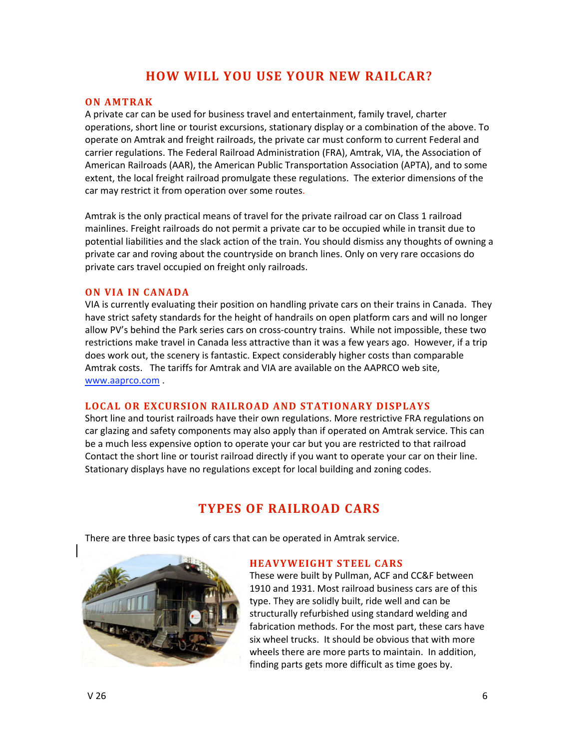# **HOW
WILL
YOU
USE
YOUR
NEW
RAILCAR?**

## **ON
AMTRAK**

A private car can be used for business travel and entertainment, family travel, charter operations,
short
line
or
tourist
excursions,
stationary
display
or
a
combination
of
the
above.
To operate on Amtrak and freight railroads, the private car must conform to current Federal and carrier regulations. The Federal Railroad Administration (FRA), Amtrak, VIA, the Association of American Railroads (AAR), the American Public Transportation Association (APTA), and to some extent, the local freight railroad promulgate these regulations. The exterior dimensions of the car
may
restrict
it
from
operation
over
some
routes.

Amtrak is the only practical means of travel for the private railroad car on Class 1 railroad mainlines. Freight railroads do not permit a private car to be occupied while in transit due to potential liabilities and the slack action of the train. You should dismiss any thoughts of owning a private
car
and
roving
about
the
countryside
on
branch
lines.
Only
on
very
rare
occasions
do private
cars
travel
occupied
on
freight
only
railroads.

## **ON VIA IN CANADA**

VIA is currently evaluating their position on handling private cars on their trains in Canada. They have strict safety standards for the height of handrails on open platform cars and will no longer allow PV's behind the Park series cars on cross-country trains. While not impossible, these two restrictions make travel in Canada less attractive than it was a few years ago. However, if a trip does work out, the scenery is fantastic. Expect considerably higher costs than comparable Amtrak costs. The tariffs for Amtrak and VIA are available on the AAPRCO web site, www.aaprco.com .

## LOCAL OR EXCURSION RAILROAD AND STATIONARY DISPLAYS

Short line and tourist railroads have their own regulations. More restrictive FRA regulations on car glazing and safety components may also apply than if operated on Amtrak service. This can be a much less expensive option to operate your car but you are restricted to that railroad Contact the short line or tourist railroad directly if you want to operate your car on their line. Stationary displays have no regulations except for local building and zoning codes.

# **TYPES
OF
RAILROAD
CARS**

There are three basic types of cars that can be operated in Amtrak service.



#### **HEAVYWEIGHT
STEEL
CARS**

These
were
built
by
Pullman,
ACF
and
CC&F
between 1910
and
1931.
Most
railroad
business
cars
are
of
this type.
They
are
solidly
built,
ride
well
and
can
be structurally
refurbished
using
standard
welding
and fabrication
methods.
For
the
most
part,
these
cars
have six
wheel
trucks.

It
should
be
obvious
that
with
more wheels there are more parts to maintain. In addition, finding
parts
gets
more
difficult
as
time
goes
by.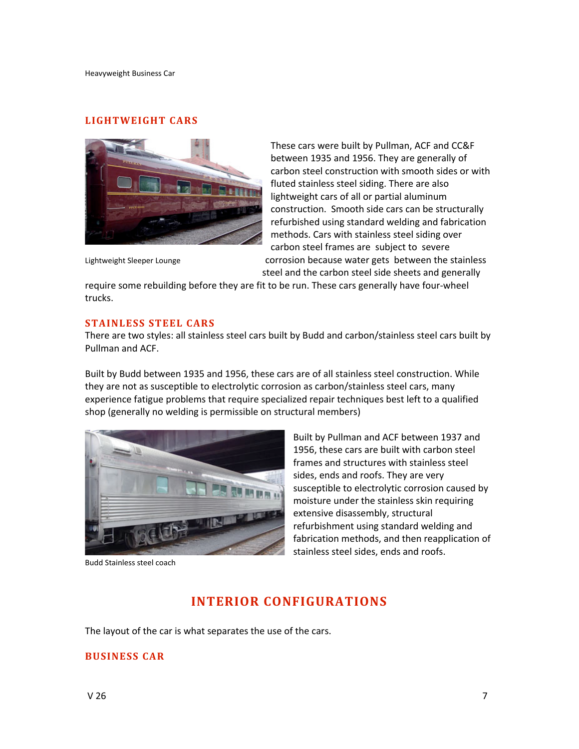#### **LIGHTWEIGHT
CARS**



These
cars
were
built
by
Pullman,
ACF
and
CC&F between
1935
and
1956.
They
are
generally
of carbon
steel
construction
with
smooth
sides
or
with fluted stainless steel siding. There are also lightweight cars of all or partial aluminum construction.

Smooth
side
cars
can
be
structurally refurbished
using
standard
welding
and
fabrication methods.
Cars
with
stainless
steel
siding
over carbon
steel
frames
are subject
to severe Lightweight Sleeper Lounge **State Contact Contact Contact Contact Contact Contact Contact Contact Contact Contact** steel
and
the
carbon
steel
side
sheets
and
generally

require some rebuilding before they are fit to be run. These cars generally have four-wheel trucks.

## **STAINLESS
STEEL
CARS**

There are two styles: all stainless steel cars built by Budd and carbon/stainless steel cars built by Pullman
and
ACF.

Built
by
Budd
between
1935
and
1956,
these
cars
are
of
all
stainless
steel
construction.
While they are not as susceptible to electrolytic corrosion as carbon/stainless steel cars, many experience fatigue problems that require specialized repair techniques best left to a qualified shop (generally no welding is permissible on structural members)



Budd
Stainless
steel
coach

Built
by
Pullman
and
ACF
between
1937
and 1956,
these
cars
are
built
with
carbon
steel frames
and
structures
with
stainless
steel sides,
ends
and
roofs.
They
are
very susceptible to electrolytic corrosion caused by moisture
under
the
stainless
skin
requiring extensive
disassembly,
structural refurbishment
using
standard
welding
and fabrication
methods,
and
then
reapplication
of stainless
steel
sides,
ends
and
roofs.

## **INTERIOR
CONFIGURATIONS**

The layout of the car is what separates the use of the cars.

## **BUSINESS
CAR**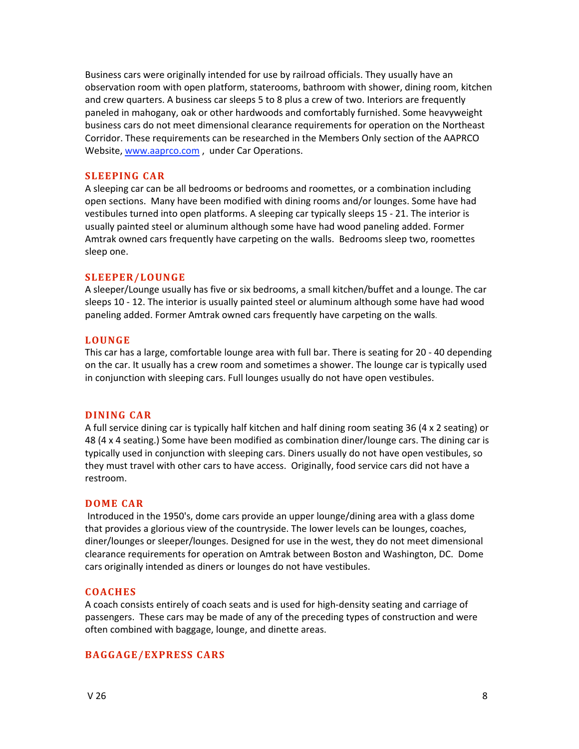Business cars were originally intended for use by railroad officials. They usually have an observation room with open platform, staterooms, bathroom with shower, dining room, kitchen and crew quarters. A business car sleeps 5 to 8 plus a crew of two. Interiors are frequently paneled
in
mahogany,
oak
or
other
hardwoods
and
comfortably
furnished.
Some
heavyweight business
cars
do
not
meet
dimensional
clearance
requirements
for
operation
on
the
Northeast Corridor. These requirements can be researched in the Members Only section of the AAPRCO Website, www.aaprco.com, under Car Operations.

#### **SLEEPING
CAR**

A sleeping car can be all bedrooms or bedrooms and roomettes, or a combination including open sections. Many have been modified with dining rooms and/or lounges. Some have had vestibules turned into open platforms. A sleeping car typically sleeps 15 - 21. The interior is usually painted steel or aluminum although some have had wood paneling added. Former Amtrak owned cars frequently have carpeting on the walls. Bedrooms sleep two, roomettes sleep
one.

## **SLEEPER/LOUNGE**

A sleeper/Lounge usually has five or six bedrooms, a small kitchen/buffet and a lounge. The car sleeps 10 - 12. The interior is usually painted steel or aluminum although some have had wood paneling
added.
Former
Amtrak
owned
cars
frequently
have
carpeting
on
the
walls.

## **LOUNGE**

This car has a large, comfortable lounge area with full bar. There is seating for 20 - 40 depending on the car. It usually has a crew room and sometimes a shower. The lounge car is typically used in conjunction with sleeping cars. Full lounges usually do not have open vestibules.

#### **DINING CAR**

A full service dining car is typically half kitchen and half dining room seating 36 (4 x 2 seating) or 48 (4 x 4 seating.) Some have been modified as combination diner/lounge cars. The dining car is typically used in conjunction with sleeping cars. Diners usually do not have open vestibules, so they must travel with other cars to have access. Originally, food service cars did not have a restroom.

#### **DOME
CAR**

Introduced in the 1950's, dome cars provide an upper lounge/dining area with a glass dome that provides a glorious view of the countryside. The lower levels can be lounges, coaches, diner/lounges or sleeper/lounges. Designed for use in the west, they do not meet dimensional clearance
requirements
for
operation
on
Amtrak
between
Boston
and
Washington,
DC.

Dome cars originally intended as diners or lounges do not have vestibules.

## **COACHES**

A coach consists entirely of coach seats and is used for high-density seating and carriage of passengers.

These
cars
may
be
made
of
any
of
the
preceding
types
of
construction
and
were often
combined
with
baggage,
lounge,
and
dinette
areas.

## **BAGGAGE/EXPRESS
CARS**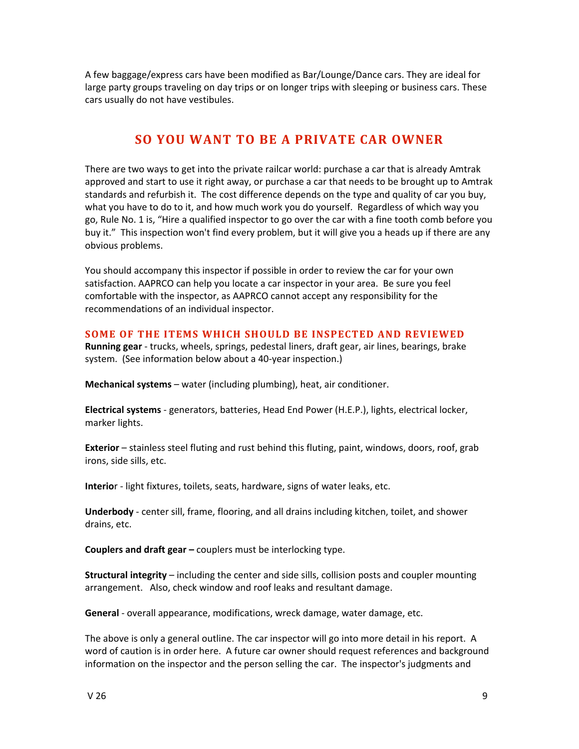A few baggage/express cars have been modified as Bar/Lounge/Dance cars. They are ideal for large party groups traveling on day trips or on longer trips with sleeping or business cars. These cars
usually
do
not
have
vestibules.

# **SO
YOU
WANT
TO
BE
A
PRIVATE
CAR
OWNER**

There are two ways to get into the private railcar world: purchase a car that is already Amtrak approved and start to use it right away, or purchase a car that needs to be brought up to Amtrak standards and refurbish it. The cost difference depends on the type and quality of car you buy, what you have to do to it, and how much work you do yourself. Regardless of which way you go, Rule No. 1 is, "Hire a qualified inspector to go over the car with a fine tooth comb before you buy it." This inspection won't find every problem, but it will give you a heads up if there are any obvious
problems.

You should accompany this inspector if possible in order to review the car for your own satisfaction. AAPRCO can help you locate a car inspector in your area. Be sure you feel comfortable with the inspector, as AAPRCO cannot accept any responsibility for the recommendations
of
an
individual
inspector.

## SOME OF THE ITEMS WHICH SHOULD BE INSPECTED AND REVIEWED

**Running gear** - trucks, wheels, springs, pedestal liners, draft gear, air lines, bearings, brake system.

(See
information
below
about
a
40‐year
inspection.)

Mechanical systems - water (including plumbing), heat, air conditioner.

Electrical systems - generators, batteries, Head End Power (H.E.P.), lights, electrical locker, marker
lights.

**Exterior** - stainless steel fluting and rust behind this fluting, paint, windows, doors, roof, grab irons,
side
sills,
etc.

Interior - light fixtures, toilets, seats, hardware, signs of water leaks, etc.

Underbody - center sill, frame, flooring, and all drains including kitchen, toilet, and shower drains,
etc.

**Couplers and draft gear** – couplers must be interlocking type.

**Structural integrity** – including the center and side sills, collision posts and coupler mounting arrangement.

Also,
check
window
and
roof
leaks
and
resultant
damage.

General - overall appearance, modifications, wreck damage, water damage, etc.

The above is only a general outline. The car inspector will go into more detail in his report. A word of caution is in order here. A future car owner should request references and background information on the inspector and the person selling the car. The inspector's judgments and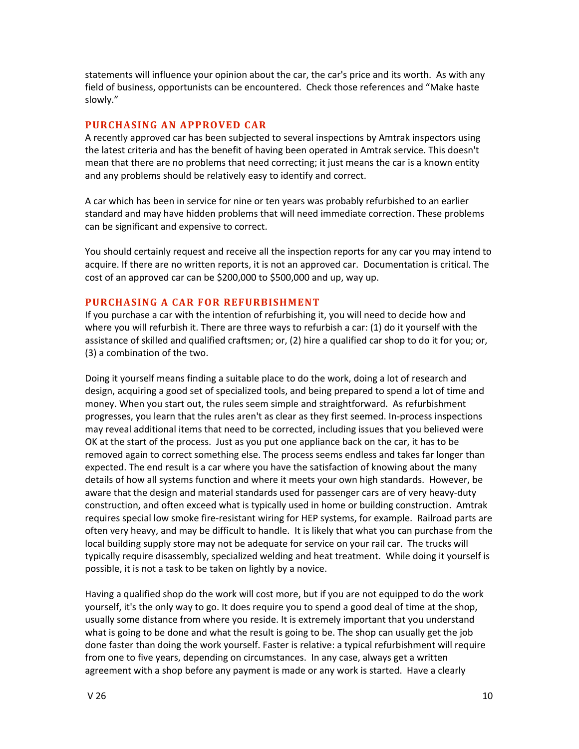statements will influence your opinion about the car, the car's price and its worth. As with any field of business, opportunists can be encountered. Check those references and "Make haste slowly."

## **PURCHASING
AN
APPROVED
CAR**

A recently approved car has been subjected to several inspections by Amtrak inspectors using the latest criteria and has the benefit of having been operated in Amtrak service. This doesn't mean that there are no problems that need correcting; it just means the car is a known entity and
any
problems
should
be
relatively
easy
to
identify
and
correct.

A car which has been in service for nine or ten years was probably refurbished to an earlier standard and may have hidden problems that will need immediate correction. These problems can
be
significant
and
expensive
to
correct.

You should certainly request and receive all the inspection reports for any car you may intend to acquire. If there are no written reports, it is not an approved car. Documentation is critical. The cost of an approved car can be \$200,000 to \$500,000 and up, way up.

#### **PURCHASING A CAR FOR REFURBISHMENT**

If you purchase a car with the intention of refurbishing it, you will need to decide how and where you will refurbish it. There are three ways to refurbish a car: (1) do it yourself with the assistance of skilled and qualified craftsmen; or, (2) hire a qualified car shop to do it for you; or, (3)
a
combination
of
the
two.

Doing it yourself means finding a suitable place to do the work, doing a lot of research and design, acquiring a good set of specialized tools, and being prepared to spend a lot of time and money. When you start out, the rules seem simple and straightforward. As refurbishment progresses, you learn that the rules aren't as clear as they first seemed. In-process inspections may reveal additional items that need to be corrected, including issues that you believed were OK at the start of the process. Just as you put one appliance back on the car, it has to be removed again to correct something else. The process seems endless and takes far longer than expected. The end result is a car where you have the satisfaction of knowing about the many details of how all systems function and where it meets your own high standards. However, be aware that the design and material standards used for passenger cars are of very heavy-duty construction, and often exceed what is typically used in home or building construction. Amtrak requires special low smoke fire-resistant wiring for HEP systems, for example. Railroad parts are often very heavy, and may be difficult to handle. It is likely that what you can purchase from the local building supply store may not be adequate for service on your rail car. The trucks will typically require disassembly, specialized welding and heat treatment. While doing it yourself is possible,
it
is
not
a
task
to
be
taken
on
lightly
by
a
novice.

Having a qualified shop do the work will cost more, but if you are not equipped to do the work yourself, it's the only way to go. It does require you to spend a good deal of time at the shop, usually some distance from where you reside. It is extremely important that you understand what is going to be done and what the result is going to be. The shop can usually get the job done faster than doing the work yourself. Faster is relative: a typical refurbishment will require from one to five years, depending on circumstances. In any case, always get a written agreement with a shop before any payment is made or any work is started. Have a clearly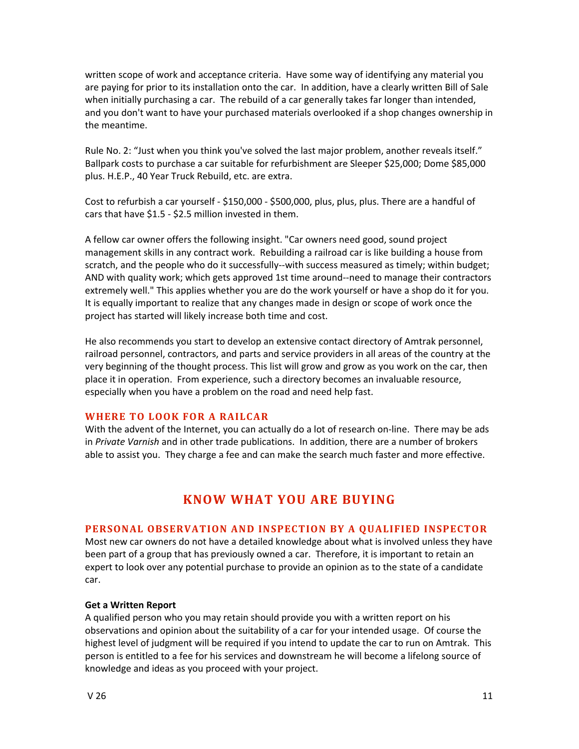written scope of work and acceptance criteria. Have some way of identifying any material you are paying for prior to its installation onto the car. In addition, have a clearly written Bill of Sale when initially purchasing a car. The rebuild of a car generally takes far longer than intended, and you don't want to have your purchased materials overlooked if a shop changes ownership in the
meantime.

Rule No. 2: "Just when you think you've solved the last major problem, another reveals itself." Ballpark costs to purchase a car suitable for refurbishment are Sleeper \$25,000; Dome \$85,000 plus.
H.E.P.,
40
Year
Truck
Rebuild,
etc.
are
extra.

Cost to refurbish a car yourself - \$150,000 - \$500,000, plus, plus, plus. There are a handful of cars
that
have
\$1.5
‐
\$2.5
million
invested
in
them.

A fellow car owner offers the following insight. "Car owners need good, sound project management skills in any contract work. Rebuilding a railroad car is like building a house from scratch, and the people who do it successfully--with success measured as timely; within budget; AND with quality work; which gets approved 1st time around--need to manage their contractors extremely well." This applies whether you are do the work yourself or have a shop do it for you. It is equally important to realize that any changes made in design or scope of work once the project
has
started
will
likely
increase
both
time
and
cost.

He also recommends you start to develop an extensive contact directory of Amtrak personnel, railroad personnel, contractors, and parts and service providers in all areas of the country at the very beginning of the thought process. This list will grow and grow as you work on the car, then place it in operation. From experience, such a directory becomes an invaluable resource, especially
when
you
have
a
problem
on
the
road
and
need
help
fast.

#### WHERE TO LOOK FOR A RAILCAR

With the advent of the Internet, you can actually do a lot of research on-line. There may be ads in Private Varnish and in other trade publications. In addition, there are a number of brokers able to assist you. They charge a fee and can make the search much faster and more effective.

# **KNOW
WHAT
YOU
ARE
BUYING**

## **PERSONAL OBSERVATION AND INSPECTION BY A QUALIFIED INSPECTOR**

Most new car owners do not have a detailed knowledge about what is involved unless they have been part of a group that has previously owned a car. Therefore, it is important to retain an expert to look over any potential purchase to provide an opinion as to the state of a candidate car.

#### **Get
a
Written
Report**

A qualified person who you may retain should provide you with a written report on his observations and opinion about the suitability of a car for your intended usage. Of course the highest level of judgment will be required if you intend to update the car to run on Amtrak. This person is entitled to a fee for his services and downstream he will become a lifelong source of knowledge
and
ideas
as
you
proceed
with
your
project.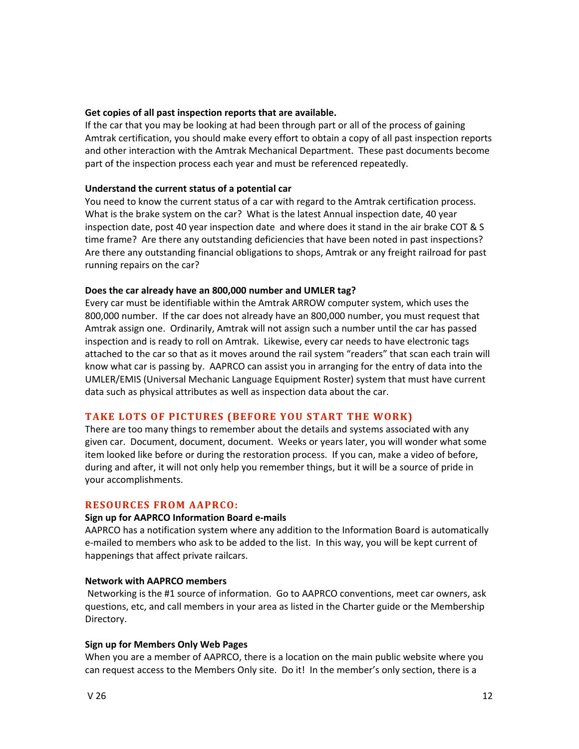#### **Get
copies
of
all
past
inspection
reports
that
are
available.**

If the car that you may be looking at had been through part or all of the process of gaining Amtrak certification, you should make every effort to obtain a copy of all past inspection reports and
other
interaction
with
the
Amtrak
Mechanical
Department.

These
past
documents
become part of the inspection process each year and must be referenced repeatedly.

## **Understand
the
current
status
of
a
potential
car**

You need to know the current status of a car with regard to the Amtrak certification process. What is the brake system on the car? What is the latest Annual inspection date, 40 year inspection date, post 40 year inspection date and where does it stand in the air brake COT & S time frame? Are there any outstanding deficiencies that have been noted in past inspections? Are there any outstanding financial obligations to shops, Amtrak or any freight railroad for past running repairs on the car?

## **Does
the
car
already
have
an
800,000
number
and
UMLER
tag?**

Every
car
must
be
identifiable
within
the
Amtrak
ARROW
computer
system,
which
uses
the 800,000 number. If the car does not already have an 800,000 number, you must request that Amtrak assign one. Ordinarily, Amtrak will not assign such a number until the car has passed inspection and is ready to roll on Amtrak. Likewise, every car needs to have electronic tags attached to the car so that as it moves around the rail system "readers" that scan each train will know what car is passing by. AAPRCO can assist you in arranging for the entry of data into the UMLER/EMIS (Universal Mechanic Language Equipment Roster) system that must have current data such as physical attributes as well as inspection data about the car.

## **TAKE
LOTS
OF
PICTURES
(BEFORE
YOU
START
THE
WORK)**

There are too many things to remember about the details and systems associated with any given
car.

Document,
document,
document.

Weeks
or
years
later,
you
will
wonder
what
some item looked like before or during the restoration process. If you can, make a video of before, during and after, it will not only help you remember things, but it will be a source of pride in your
accomplishments.

## **RESOURCES
FROM
AAPRCO:**

#### **Sign
up
for
AAPRCO
Information
Board
e‐mails**

AAPRCO has a notification system where any addition to the Information Board is automatically e-mailed to members who ask to be added to the list. In this way, you will be kept current of happenings
that
affect
private
railcars.

#### **Network
with
AAPRCO
members**

Networking is the #1 source of information. Go to AAPRCO conventions, meet car owners, ask questions,
etc,
and
call
members
in
your
area
as
listed
in
the
Charter
guide
or
the
Membership Directory.

#### **Sign
up
for
Members
Only
Web
Pages**

When you are a member of AAPRCO, there is a location on the main public website where you can request access to the Members Only site. Do it! In the member's only section, there is a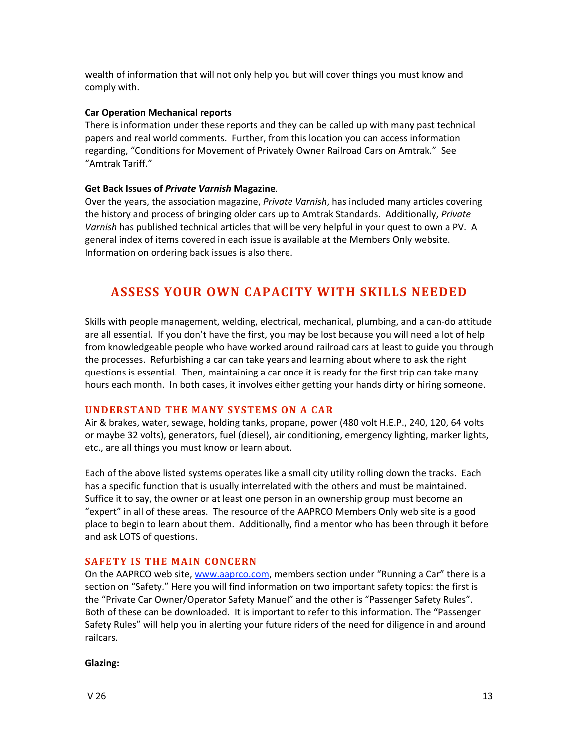wealth of information that will not only help you but will cover things you must know and comply
with.

## **Car
Operation
Mechanical
reports**

There is information under these reports and they can be called up with many past technical papers
and
real
world
comments.

Further,
from
this
location
you
can
access
information regarding, "Conditions for Movement of Privately Owner Railroad Cars on Amtrak." See "Amtrak
Tariff."

## **Get
Back
Issues
of** *Private
Varnish***Magazine.**

Over the years, the association magazine, *Private Varnish*, has included many articles covering the
history
and
process
of
bringing
older
cars
up
to
Amtrak
Standards.

Additionally, *Private*  Varnish has published technical articles that will be very helpful in your quest to own a PV. A general index of items covered in each issue is available at the Members Only website. Information
on
ordering
back
issues
is
also
there.

# **ASSESS
YOUR
OWN
CAPACITY
WITH
SKILLS
NEEDED**

Skills with people management, welding, electrical, mechanical, plumbing, and a can-do attitude are all essential. If you don't have the first, you may be lost because you will need a lot of help from knowledgeable people who have worked around railroad cars at least to guide you through the processes. Refurbishing a car can take years and learning about where to ask the right questions is essential. Then, maintaining a car once it is ready for the first trip can take many hours each month. In both cases, it involves either getting your hands dirty or hiring someone.

## UNDERSTAND THE MANY SYSTEMS ON A CAR

Air & brakes, water, sewage, holding tanks, propane, power (480 volt H.E.P., 240, 120, 64 volts or maybe 32 volts), generators, fuel (diesel), air conditioning, emergency lighting, marker lights, etc.,
are
all
things
you
must
know
or
learn
about.

Each of the above listed systems operates like a small city utility rolling down the tracks. Each has a specific function that is usually interrelated with the others and must be maintained. Suffice it to say, the owner or at least one person in an ownership group must become an "expert" in all of these areas. The resource of the AAPRCO Members Only web site is a good place to begin to learn about them. Additionally, find a mentor who has been through it before and
ask
LOTS
of
questions.

## **SAFETY IS THE MAIN CONCERN**

On the AAPRCO web site, www.aaprco.com, members section under "Running a Car" there is a section on "Safety." Here you will find information on two important safety topics: the first is the "Private Car Owner/Operator Safety Manuel" and the other is "Passenger Safety Rules". Both of these can be downloaded. It is important to refer to this information. The "Passenger Safety Rules" will help you in alerting your future riders of the need for diligence in and around railcars.

#### **Glazing:**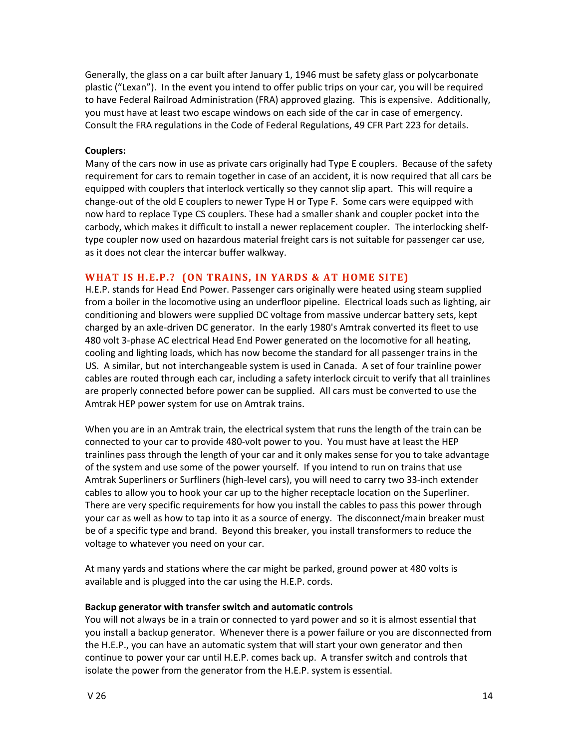Generally, the glass on a car built after January 1, 1946 must be safety glass or polycarbonate plastic ("Lexan"). In the event you intend to offer public trips on your car, you will be required to have Federal Railroad Administration (FRA) approved glazing. This is expensive. Additionally, you must have at least two escape windows on each side of the car in case of emergency. Consult the FRA regulations in the Code of Federal Regulations, 49 CFR Part 223 for details.

## **Couplers:**

Many of the cars now in use as private cars originally had Type E couplers. Because of the safety requirement for cars to remain together in case of an accident, it is now required that all cars be equipped with couplers that interlock vertically so they cannot slip apart. This will require a change-out of the old E couplers to newer Type H or Type F. Some cars were equipped with now hard to replace Type CS couplers. These had a smaller shank and coupler pocket into the carbody, which makes it difficult to install a newer replacement coupler. The interlocking shelftype coupler now used on hazardous material freight cars is not suitable for passenger car use, as
it
does
not
clear
the
intercar
buffer
walkway.

## WHAT IS H.E.P.? (ON TRAINS, IN YARDS & AT HOME SITE)

H.E.P.
stands
for
Head
End
Power.
Passenger
cars
originally
were
heated
using
steam
supplied from a boiler in the locomotive using an underfloor pipeline. Electrical loads such as lighting, air conditioning
and
blowers
were
supplied
DC
voltage
from
massive
undercar
battery
sets,
kept charged by an axle-driven DC generator. In the early 1980's Amtrak converted its fleet to use 480 volt 3-phase AC electrical Head End Power generated on the locomotive for all heating, cooling and lighting loads, which has now become the standard for all passenger trains in the US. A similar, but not interchangeable system is used in Canada. A set of four trainline power cables are routed through each car, including a safety interlock circuit to verify that all trainlines are properly connected before power can be supplied. All cars must be converted to use the Amtrak
HEP
power
system
for
use
on
Amtrak
trains.

When you are in an Amtrak train, the electrical system that runs the length of the train can be connected to your car to provide 480-volt power to you. You must have at least the HEP trainlines pass through the length of your car and it only makes sense for you to take advantage of the system and use some of the power yourself. If you intend to run on trains that use Amtrak Superliners or Surfliners (high-level cars), you will need to carry two 33-inch extender cables to allow you to hook your car up to the higher receptacle location on the Superliner. There are very specific requirements for how you install the cables to pass this power through your car as well as how to tap into it as a source of energy. The disconnect/main breaker must be of a specific type and brand. Beyond this breaker, you install transformers to reduce the voltage
to
whatever
you
need
on
your
car.

At many yards and stations where the car might be parked, ground power at 480 volts is available and is plugged into the car using the H.E.P. cords.

#### **Backup
generator
with
transfer
switch
and
automatic
controls**

You will not always be in a train or connected to yard power and so it is almost essential that you
install
a
backup
generator.

Whenever
there
is
a
power
failure
or
you
are
disconnected
from the H.E.P., you can have an automatic system that will start your own generator and then continue to power your car until H.E.P. comes back up. A transfer switch and controls that isolate
the
power
from
the
generator
from
the
H.E.P.
system
is
essential.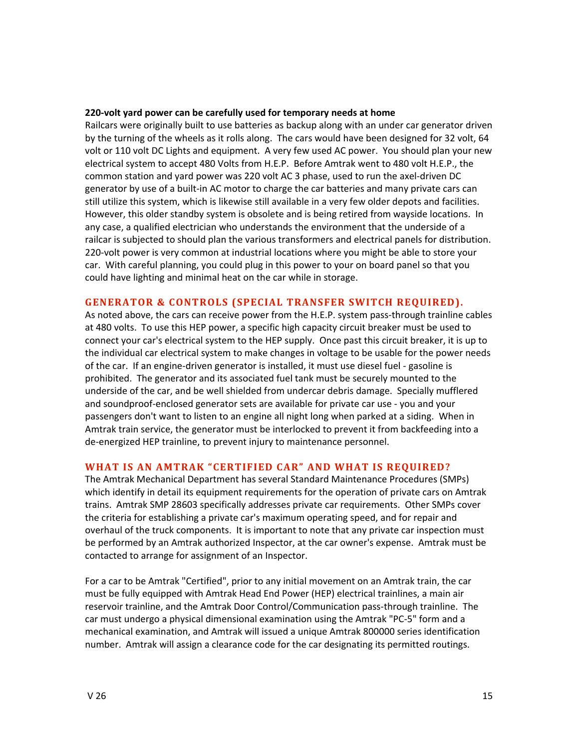#### **220‐volt
yard
power
can
be
carefully
used
for
temporary
needs
at
home**

Railcars were originally built to use batteries as backup along with an under car generator driven by the turning of the wheels as it rolls along. The cars would have been designed for 32 volt, 64 volt or 110 volt DC Lights and equipment. A very few used AC power. You should plan your new electrical system to accept 480 Volts from H.E.P. Before Amtrak went to 480 volt H.E.P., the common station and yard power was 220 volt AC 3 phase, used to run the axel-driven DC generator by use of a built-in AC motor to charge the car batteries and many private cars can still utilize this system, which is likewise still available in a very few older depots and facilities. However, this older standby system is obsolete and is being retired from wayside locations. In any case, a qualified electrician who understands the environment that the underside of a railcar is subjected to should plan the various transformers and electrical panels for distribution. 220-volt power is very common at industrial locations where you might be able to store your car. With careful planning, you could plug in this power to your on board panel so that you could have lighting and minimal heat on the car while in storage.

#### GENERATOR & CONTROLS (SPECIAL TRANSFER SWITCH REQUIRED).

As noted above, the cars can receive power from the H.E.P. system pass-through trainline cables at 480 volts. To use this HEP power, a specific high capacity circuit breaker must be used to connect your car's electrical system to the HEP supply. Once past this circuit breaker, it is up to the individual car electrical system to make changes in voltage to be usable for the power needs of the car. If an engine-driven generator is installed, it must use diesel fuel - gasoline is prohibited. The generator and its associated fuel tank must be securely mounted to the underside of the car, and be well shielded from undercar debris damage. Specially mufflered and soundproof-enclosed generator sets are available for private car use - you and your passengers don't want to listen to an engine all night long when parked at a siding. When in Amtrak train service, the generator must be interlocked to prevent it from backfeeding into a de-energized HEP trainline, to prevent injury to maintenance personnel.

#### WHAT IS AN AMTRAK "CERTIFIED CAR" AND WHAT IS REQUIRED?

The
Amtrak
Mechanical
Department
has
several
Standard
Maintenance
Procedures
(SMPs) which identify in detail its equipment requirements for the operation of private cars on Amtrak trains.

Amtrak
SMP
28603
specifically
addresses
private
car
requirements.

Other
SMPs
cover the criteria for establishing a private car's maximum operating speed, and for repair and overhaul of the truck components. It is important to note that any private car inspection must be performed by an Amtrak authorized Inspector, at the car owner's expense. Amtrak must be contacted
to
arrange
for
assignment
of
an
Inspector.

For a car to be Amtrak "Certified", prior to any initial movement on an Amtrak train, the car must
be
fully
equipped
with
Amtrak
Head
End
Power
(HEP)
electrical
trainlines,
a
main
air reservoir trainline, and the Amtrak Door Control/Communication pass-through trainline. The car must undergo a physical dimensional examination using the Amtrak "PC-5" form and a mechanical examination, and Amtrak will issued a unique Amtrak 800000 series identification number. Amtrak will assign a clearance code for the car designating its permitted routings.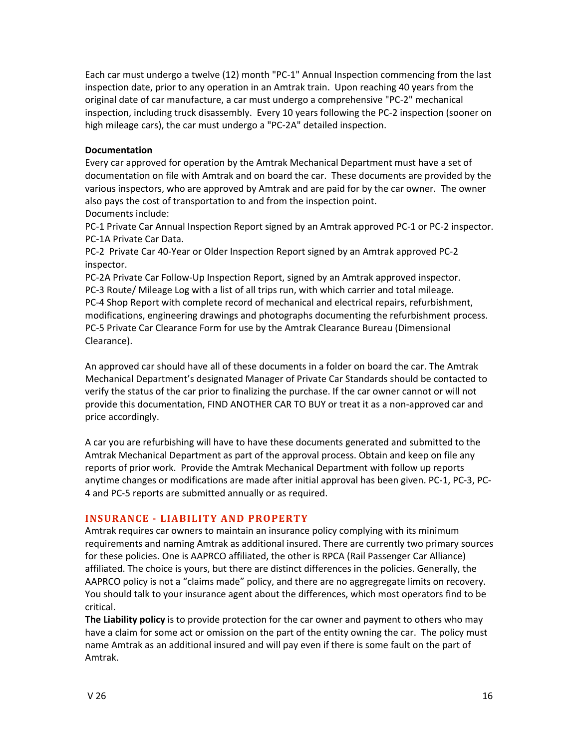Each car must undergo a twelve (12) month "PC-1" Annual Inspection commencing from the last inspection date, prior to any operation in an Amtrak train. Upon reaching 40 years from the original
date
of
car
manufacture,
a
car
must
undergo
a
comprehensive
"PC‐2"
mechanical inspection, including truck disassembly. Every 10 years following the PC-2 inspection (sooner on high mileage cars), the car must undergo a "PC-2A" detailed inspection.

## **Documentation**

Every car approved for operation by the Amtrak Mechanical Department must have a set of documentation on file with Amtrak and on board the car. These documents are provided by the various inspectors, who are approved by Amtrak and are paid for by the car owner. The owner also pays the cost of transportation to and from the inspection point. Documents
include:

PC-1 Private Car Annual Inspection Report signed by an Amtrak approved PC-1 or PC-2 inspector. PC‐1A
Private
Car
Data.

PC‐2

Private
Car
40‐Year
or
Older
Inspection Report
signed
by
an
Amtrak
approved PC‐2 inspector.

PC-2A Private Car Follow-Up Inspection Report, signed by an Amtrak approved inspector. PC-3 Route/ Mileage Log with a list of all trips run, with which carrier and total mileage. PC-4 Shop Report with complete record of mechanical and electrical repairs, refurbishment, modifications,
engineering
drawings
and
photographs
documenting
the
refurbishment
process. PC-5 Private Car Clearance Form for use by the Amtrak Clearance Bureau (Dimensional Clearance).

An approved car should have all of these documents in a folder on board the car. The Amtrak Mechanical Department's designated Manager of Private Car Standards should be contacted to verify the status of the car prior to finalizing the purchase. If the car owner cannot or will not provide this documentation, FIND ANOTHER CAR TO BUY or treat it as a non-approved car and price
accordingly.

A car you are refurbishing will have to have these documents generated and submitted to the Amtrak Mechanical Department as part of the approval process. Obtain and keep on file any reports of prior work. Provide the Amtrak Mechanical Department with follow up reports anytime changes or modifications are made after initial approval has been given. PC-1, PC-3, PC-4
and
PC‐5
reports
are
submitted
annually
or
as
required.

## **INSURANCE - LIABILITY AND PROPERTY**

Amtrak requires car owners to maintain an insurance policy complying with its minimum requirements and naming Amtrak as additional insured. There are currently two primary sources for these policies. One is AAPRCO affiliated, the other is RPCA (Rail Passenger Car Alliance) affiliated. The choice is yours, but there are distinct differences in the policies. Generally, the AAPRCO policy is not a "claims made" policy, and there are no aggregregate limits on recovery. You should talk to your insurance agent about the differences, which most operators find to be critical.

The Liability policy is to provide protection for the car owner and payment to others who may have a claim for some act or omission on the part of the entity owning the car. The policy must name Amtrak as an additional insured and will pay even if there is some fault on the part of Amtrak.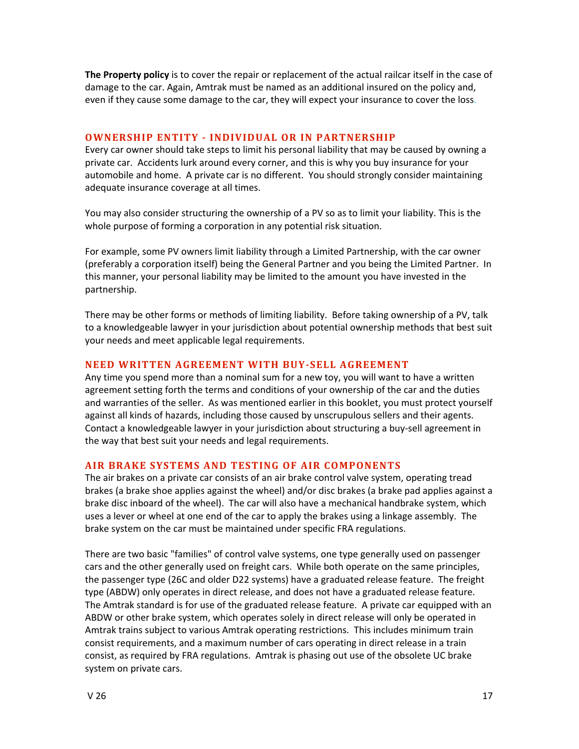**The Property policy** is to cover the repair or replacement of the actual railcar itself in the case of damage to the car. Again, Amtrak must be named as an additional insured on the policy and, even if they cause some damage to the car, they will expect your insurance to cover the loss.

## **OWNERSHIP ENTITY - INDIVIDUAL OR IN PARTNERSHIP**

Every car owner should take steps to limit his personal liability that may be caused by owning a private car. Accidents lurk around every corner, and this is why you buy insurance for your automobile and home. A private car is no different. You should strongly consider maintaining adequate
insurance
coverage
at
all
times.

You may also consider structuring the ownership of a PV so as to limit your liability. This is the whole purpose of forming a corporation in any potential risk situation.

For example, some PV owners limit liability through a Limited Partnership, with the car owner (preferably a corporation itself) being the General Partner and you being the Limited Partner. In this manner, your personal liability may be limited to the amount you have invested in the partnership.

There may be other forms or methods of limiting liability. Before taking ownership of a PV, talk to a knowledgeable lawyer in your jurisdiction about potential ownership methods that best suit your
needs
and
meet
applicable
legal
requirements.

## NEED WRITTEN AGREEMENT WITH BUY-SELL AGREEMENT

Any time you spend more than a nominal sum for a new toy, you will want to have a written agreement setting forth the terms and conditions of your ownership of the car and the duties and warranties of the seller. As was mentioned earlier in this booklet, you must protect yourself against all kinds of hazards, including those caused by unscrupulous sellers and their agents. Contact a knowledgeable lawyer in your jurisdiction about structuring a buy-sell agreement in the way that best suit your needs and legal requirements.

#### AIR BRAKE SYSTEMS AND TESTING OF AIR COMPONENTS

The air brakes on a private car consists of an air brake control valve system, operating tread brakes (a brake shoe applies against the wheel) and/or disc brakes (a brake pad applies against a brake disc inboard of the wheel). The car will also have a mechanical handbrake system, which uses a lever or wheel at one end of the car to apply the brakes using a linkage assembly. The brake system on the car must be maintained under specific FRA regulations.

There are two basic "families" of control valve systems, one type generally used on passenger cars and the other generally used on freight cars. While both operate on the same principles, the passenger type (26C and older D22 systems) have a graduated release feature. The freight type (ABDW) only operates in direct release, and does not have a graduated release feature. The Amtrak standard is for use of the graduated release feature. A private car equipped with an ABDW or other brake system, which operates solely in direct release will only be operated in Amtrak trains subject to various Amtrak operating restrictions. This includes minimum train consist requirements, and a maximum number of cars operating in direct release in a train consist, as required by FRA regulations. Amtrak is phasing out use of the obsolete UC brake system
on
private
cars.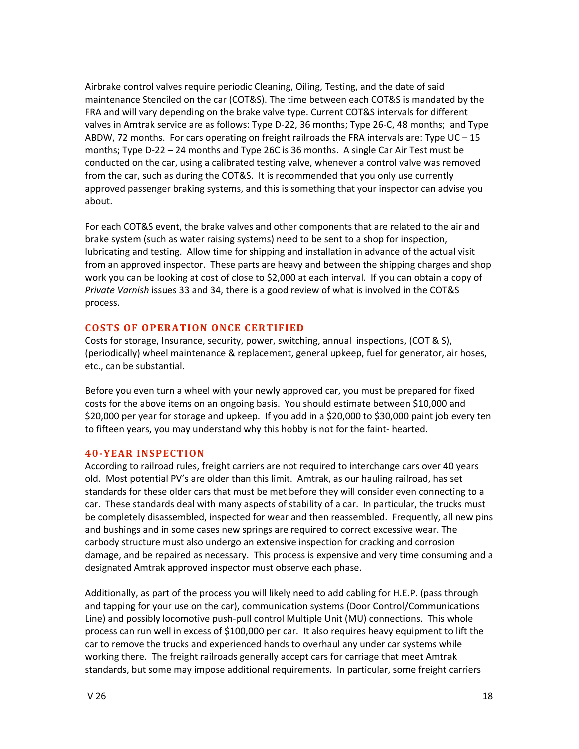Airbrake control valves require periodic Cleaning, Oiling, Testing, and the date of said maintenance Stenciled on the car (COT&S). The time between each COT&S is mandated by the FRA and will vary depending on the brake valve type. Current COT&S intervals for different valves in Amtrak service are as follows: Type D-22, 36 months; Type 26-C, 48 months; and Type ABDW, 72 months. For cars operating on freight railroads the FRA intervals are: Type UC - 15 months; Type D-22 - 24 months and Type 26C is 36 months. A single Car Air Test must be conducted on the car, using a calibrated testing valve, whenever a control valve was removed from the car, such as during the COT&S. It is recommended that you only use currently approved passenger braking systems, and this is something that your inspector can advise you about.

For each COT&S event, the brake valves and other components that are related to the air and brake system (such as water raising systems) need to be sent to a shop for inspection, lubricating and testing. Allow time for shipping and installation in advance of the actual visit from an approved inspector. These parts are heavy and between the shipping charges and shop work you can be looking at cost of close to \$2,000 at each interval. If you can obtain a copy of Private Varnish issues 33 and 34, there is a good review of what is involved in the COT&S process.

## **COSTS OF OPERATION ONCE CERTIFIED**

Costs for storage, Insurance, security, power, switching, annual inspections, (COT & S), (periodically)
wheel
maintenance
&
replacement,
general
upkeep,
fuel
for
generator,
air
hoses, etc.,
can
be
substantial.

Before you even turn a wheel with your newly approved car, you must be prepared for fixed costs for the above items on an ongoing basis. You should estimate between \$10,000 and \$20,000 per year for storage and upkeep. If you add in a \$20,000 to \$30,000 paint job every ten to fifteen years, you may understand why this hobby is not for the faint-hearted.

## **40-YEAR INSPECTION**

According to railroad rules, freight carriers are not required to interchange cars over 40 years old. Most potential PV's are older than this limit. Amtrak, as our hauling railroad, has set standards for these older cars that must be met before they will consider even connecting to a car. These standards deal with many aspects of stability of a car. In particular, the trucks must be completely disassembled, inspected for wear and then reassembled. Frequently, all new pins and bushings and in some cases new springs are required to correct excessive wear. The carbody
structure
must
also
undergo
an
extensive
inspection
for
cracking
and
corrosion damage, and be repaired as necessary. This process is expensive and very time consuming and a designated
Amtrak
approved
inspector
must
observe
each
phase.

Additionally, as part of the process you will likely need to add cabling for H.E.P. (pass through and tapping for your use on the car), communication systems (Door Control/Communications Line) and possibly locomotive push-pull control Multiple Unit (MU) connections. This whole process can run well in excess of \$100,000 per car. It also requires heavy equipment to lift the car to remove the trucks and experienced hands to overhaul any under car systems while working there. The freight railroads generally accept cars for carriage that meet Amtrak standards, but some may impose additional requirements. In particular, some freight carriers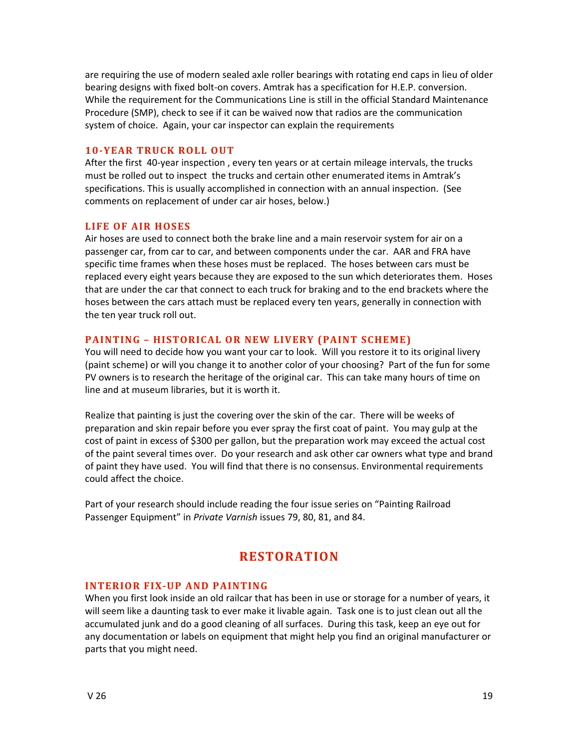are requiring the use of modern sealed axle roller bearings with rotating end caps in lieu of older bearing designs with fixed bolt-on covers. Amtrak has a specification for H.E.P. conversion. While the requirement for the Communications Line is still in the official Standard Maintenance Procedure (SMP), check to see if it can be waived now that radios are the communication system of choice. Again, your car inspector can explain the requirements

## **10-YEAR TRUCK ROLL OUT**

After the first 40-year inspection, every ten years or at certain mileage intervals, the trucks must be rolled out to inspect the trucks and certain other enumerated items in Amtrak's specifications. This is usually accomplished in connection with an annual inspection. (See comments
on
replacement
of
under
car
air
hoses,
below.)

## **LIFE
OF
AIR
HOSES**

Air hoses are used to connect both the brake line and a main reservoir system for air on a passenger
car,
from
car
to
car,
and
between
components
under
the
car.

AAR
and
FRA
have specific time frames when these hoses must be replaced. The hoses between cars must be replaced every eight years because they are exposed to the sun which deteriorates them. Hoses that are under the car that connect to each truck for braking and to the end brackets where the hoses between the cars attach must be replaced every ten years, generally in connection with the
ten
year
truck
roll
out.

## **PAINTING
–
HISTORICAL
OR
NEW
LIVERY
(PAINT
SCHEME)**

You will need to decide how you want your car to look. Will you restore it to its original livery (paint scheme) or will you change it to another color of your choosing? Part of the fun for some PV owners is to research the heritage of the original car. This can take many hours of time on line
and
at
museum
libraries,
but
it
is
worth
it.

Realize that painting is just the covering over the skin of the car. There will be weeks of preparation and skin repair before you ever spray the first coat of paint. You may gulp at the cost
of
paint
in
excess
of
\$300
per
gallon,
but
the
preparation
work
may
exceed
the
actual
cost of the paint several times over. Do your research and ask other car owners what type and brand of
paint
they
have
used.

You
will
find
that
there
is
no
consensus.
Environmental
requirements could
affect
the
choice.

Part of your research should include reading the four issue series on "Painting Railroad Passenger Equipment" in Private Varnish issues 79, 80, 81, and 84.

# **RESTORATION**

## **INTERIOR FIX-UP AND PAINTING**

When you first look inside an old railcar that has been in use or storage for a number of years, it will seem like a daunting task to ever make it livable again. Task one is to just clean out all the accumulated junk and do a good cleaning of all surfaces. During this task, keep an eye out for any documentation or labels on equipment that might help you find an original manufacturer or parts
that
you
might
need.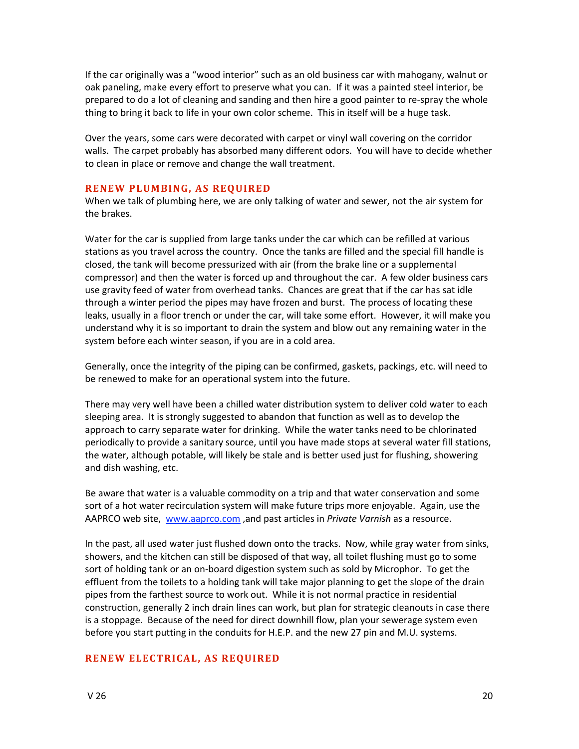If the car originally was a "wood interior" such as an old business car with mahogany, walnut or oak paneling, make every effort to preserve what you can. If it was a painted steel interior, be prepared to do a lot of cleaning and sanding and then hire a good painter to re-spray the whole thing to bring it back to life in your own color scheme. This in itself will be a huge task.

Over the years, some cars were decorated with carpet or vinyl wall covering on the corridor walls. The carpet probably has absorbed many different odors. You will have to decide whether to
clean
in
place
or
remove
and
change
the
wall
treatment.

#### **RENEW
PLUMBING,
AS
REQUIRED**

When we talk of plumbing here, we are only talking of water and sewer, not the air system for the
brakes.

Water for the car is supplied from large tanks under the car which can be refilled at various stations as you travel across the country. Once the tanks are filled and the special fill handle is closed,
the
tank
will
become
pressurized
with
air
(from
the
brake
line
or
a
supplemental compressor) and then the water is forced up and throughout the car. A few older business cars use gravity feed of water from overhead tanks. Chances are great that if the car has sat idle through a winter period the pipes may have frozen and burst. The process of locating these leaks, usually in a floor trench or under the car, will take some effort. However, it will make you understand why it is so important to drain the system and blow out any remaining water in the system
before
each
winter
season,
if
you
are
in
a
cold
area.

Generally, once the integrity of the piping can be confirmed, gaskets, packings, etc. will need to be
renewed
to
make
for
an
operational
system
into
the
future.

There may very well have been a chilled water distribution system to deliver cold water to each sleeping area. It is strongly suggested to abandon that function as well as to develop the approach to carry separate water for drinking. While the water tanks need to be chlorinated periodically to provide a sanitary source, until you have made stops at several water fill stations, the water, although potable, will likely be stale and is better used just for flushing, showering and
dish
washing,
etc.

Be aware that water is a valuable commodity on a trip and that water conservation and some sort of a hot water recirculation system will make future trips more enjoyable. Again, use the AAPRCO web site, www.aaprco.com, and past articles in *Private Varnish* as a resource.

In the past, all used water just flushed down onto the tracks. Now, while gray water from sinks, showers, and the kitchen can still be disposed of that way, all toilet flushing must go to some sort of holding tank or an on-board digestion system such as sold by Microphor. To get the effluent from the toilets to a holding tank will take major planning to get the slope of the drain pipes from the farthest source to work out. While it is not normal practice in residential construction, generally 2 inch drain lines can work, but plan for strategic cleanouts in case there is a stoppage. Because of the need for direct downhill flow, plan your sewerage system even before you start putting in the conduits for H.E.P. and the new 27 pin and M.U. systems.

## **RENEW
ELECTRICAL,
AS
REQUIRED**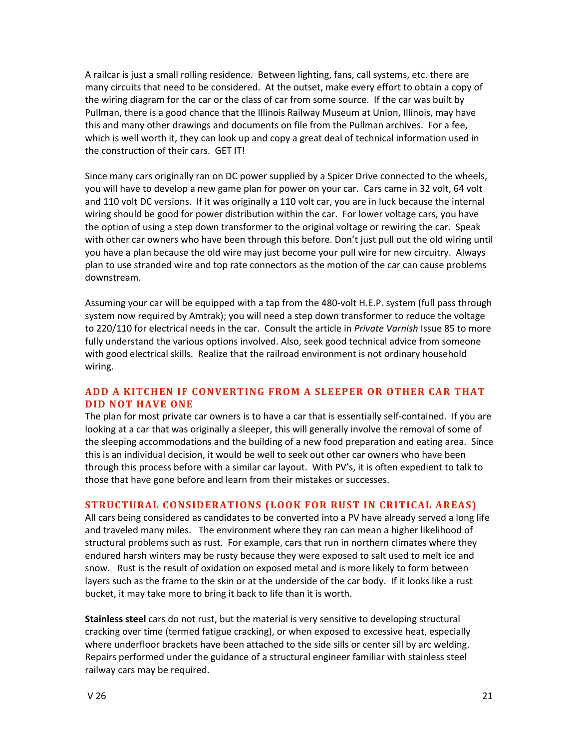A railcar is just a small rolling residence. Between lighting, fans, call systems, etc. there are many circuits that need to be considered. At the outset, make every effort to obtain a copy of the wiring diagram for the car or the class of car from some source. If the car was built by Pullman, there is a good chance that the Illinois Railway Museum at Union, Illinois, may have this and many other drawings and documents on file from the Pullman archives. For a fee, which is well worth it, they can look up and copy a great deal of technical information used in the construction of their cars. GET IT!

Since many cars originally ran on DC power supplied by a Spicer Drive connected to the wheels, you will have to develop a new game plan for power on your car. Cars came in 32 volt, 64 volt and 110 volt DC versions. If it was originally a 110 volt car, you are in luck because the internal wiring should be good for power distribution within the car. For lower voltage cars, you have the option of using a step down transformer to the original voltage or rewiring the car. Speak with other car owners who have been through this before. Don't just pull out the old wiring until you have a plan because the old wire may just become your pull wire for new circuitry. Always plan to use stranded wire and top rate connectors as the motion of the car can cause problems downstream.

Assuming your car will be equipped with a tap from the 480-volt H.E.P. system (full pass through system now required by Amtrak); you will need a step down transformer to reduce the voltage to 220/110 for electrical needs in the car. Consult the article in Private Varnish Issue 85 to more fully understand the various options involved. Also, seek good technical advice from someone with good electrical skills. Realize that the railroad environment is not ordinary household wiring.

## ADD A KITCHEN IF CONVERTING FROM A SLEEPER OR OTHER CAR THAT **DID NOT HAVE ONE**

The plan for most private car owners is to have a car that is essentially self-contained. If you are looking at a car that was originally a sleeper, this will generally involve the removal of some of the sleeping accommodations and the building of a new food preparation and eating area. Since this is an individual decision, it would be well to seek out other car owners who have been through this process before with a similar car layout. With PV's, it is often expedient to talk to those
that
have
gone
before
and
learn
from
their
mistakes
or
successes.

## **STRUCTURAL CONSIDERATIONS (LOOK FOR RUST IN CRITICAL AREAS)**

All cars being considered as candidates to be converted into a PV have already served a long life and traveled many miles. The environment where they ran can mean a higher likelihood of structural problems such as rust. For example, cars that run in northern climates where they endured harsh winters may be rusty because they were exposed to salt used to melt ice and snow. Rust is the result of oxidation on exposed metal and is more likely to form between layers such as the frame to the skin or at the underside of the car body. If it looks like a rust bucket, it may take more to bring it back to life than it is worth.

Stainless steel cars do not rust, but the material is very sensitive to developing structural cracking over time (termed fatigue cracking), or when exposed to excessive heat, especially where underfloor brackets have been attached to the side sills or center sill by arc welding. Repairs performed under the guidance of a structural engineer familiar with stainless steel railway
cars
may
be
required.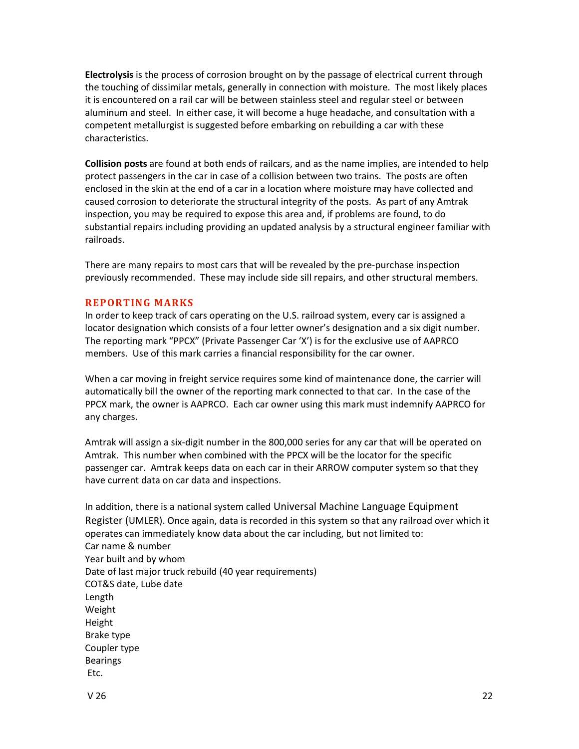**Electrolysis** is the process of corrosion brought on by the passage of electrical current through the touching of dissimilar metals, generally in connection with moisture. The most likely places it is encountered on a rail car will be between stainless steel and regular steel or between aluminum and steel. In either case, it will become a huge headache, and consultation with a competent
metallurgist
is
suggested
before
embarking
on
rebuilding
a
car
with
these characteristics.

**Collision posts** are found at both ends of railcars, and as the name implies, are intended to help protect passengers in the car in case of a collision between two trains. The posts are often enclosed in the skin at the end of a car in a location where moisture may have collected and caused corrosion to deteriorate the structural integrity of the posts. As part of any Amtrak inspection,
you
may
be
required
to
expose
this
area
and,
if
problems
are
found,
to
do substantial repairs including providing an updated analysis by a structural engineer familiar with railroads.

There are many repairs to most cars that will be revealed by the pre-purchase inspection previously recommended. These may include side sill repairs, and other structural members.

## **REPORTING
MARKS**

In order to keep track of cars operating on the U.S. railroad system, every car is assigned a locator designation which consists of a four letter owner's designation and a six digit number. The reporting mark "PPCX" (Private Passenger Car 'X') is for the exclusive use of AAPRCO members. Use of this mark carries a financial responsibility for the car owner.

When a car moving in freight service requires some kind of maintenance done, the carrier will automatically bill the owner of the reporting mark connected to that car. In the case of the PPCX mark, the owner is AAPRCO. Each car owner using this mark must indemnify AAPRCO for any
charges.

Amtrak will assign a six-digit number in the 800,000 series for any car that will be operated on Amtrak.

This
number
when
combined
with
the
PPCX
will
be
the
locator
for
the
specific passenger car. Amtrak keeps data on each car in their ARROW computer system so that they have
current
data
on
car
data
and
inspections.

In addition, there is a national system called Universal Machine Language Equipment Register (UMLER). Once again, data is recorded in this system so that any railroad over which it operates
can
immediately
know
data
about
the
car
including,
but
not
limited
to: Car
name
&
number Year
built
and
by
whom Date
of
last
major
truck
rebuild
(40
year
requirements) COT&S
date,
Lube
date Length Weight Height Brake
type Coupler
type Bearings Etc.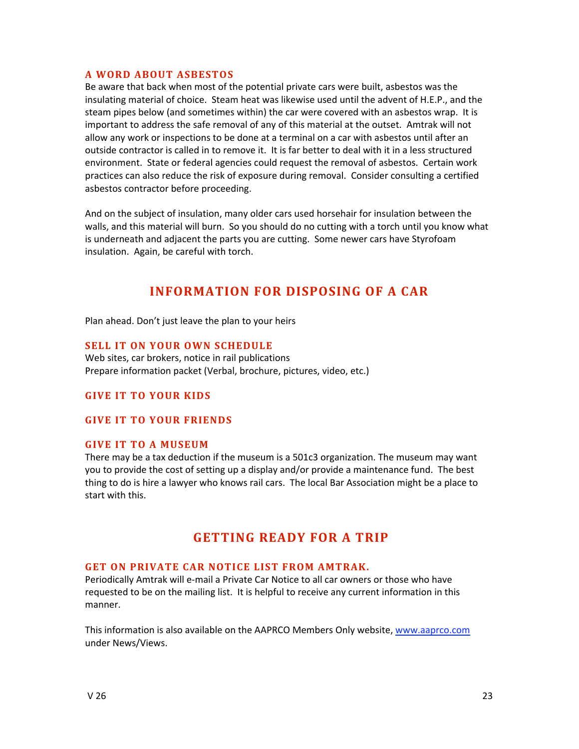## **A
WORD
ABOUT
ASBESTOS**

Be aware that back when most of the potential private cars were built, asbestos was the insulating material of choice. Steam heat was likewise used until the advent of H.E.P., and the steam pipes below (and sometimes within) the car were covered with an asbestos wrap. It is important to address the safe removal of any of this material at the outset. Amtrak will not allow any work or inspections to be done at a terminal on a car with asbestos until after an outside contractor is called in to remove it. It is far better to deal with it in a less structured environment. State or federal agencies could request the removal of asbestos. Certain work practices
can
also
reduce
the
risk
of
exposure
during
removal.

Consider
consulting
a
certified asbestos
contractor
before
proceeding.

And on the subject of insulation, many older cars used horsehair for insulation between the walls, and this material will burn. So you should do no cutting with a torch until you know what is underneath and adjacent the parts you are cutting. Some newer cars have Styrofoam insulation.

Again,
be
careful
with
torch.

## **INFORMATION FOR DISPOSING OF A CAR**

Plan
ahead.
Don't
just
leave
the
plan
to
your
heirs

## **SELL IT ON YOUR OWN SCHEDULE**

Web sites, car brokers, notice in rail publications Prepare information packet (Verbal, brochure, pictures, video, etc.)

## **GIVE IT TO YOUR KIDS**

#### **GIVE
IT
TO
YOUR
FRIENDS**

#### **GIVE
IT
TO
A
MUSEUM**

There may be a tax deduction if the museum is a 501c3 organization. The museum may want you to provide the cost of setting up a display and/or provide a maintenance fund. The best thing to do is hire a lawyer who knows rail cars. The local Bar Association might be a place to start
with
this.

## **GETTING
READY
FOR
A
TRIP**

#### GET ON PRIVATE CAR NOTICE LIST FROM AMTRAK.

Periodically Amtrak will e-mail a Private Car Notice to all car owners or those who have requested to be on the mailing list. It is helpful to receive any current information in this manner.

This information is also available on the AAPRCO Members Only website, www.aaprco.com under
News/Views.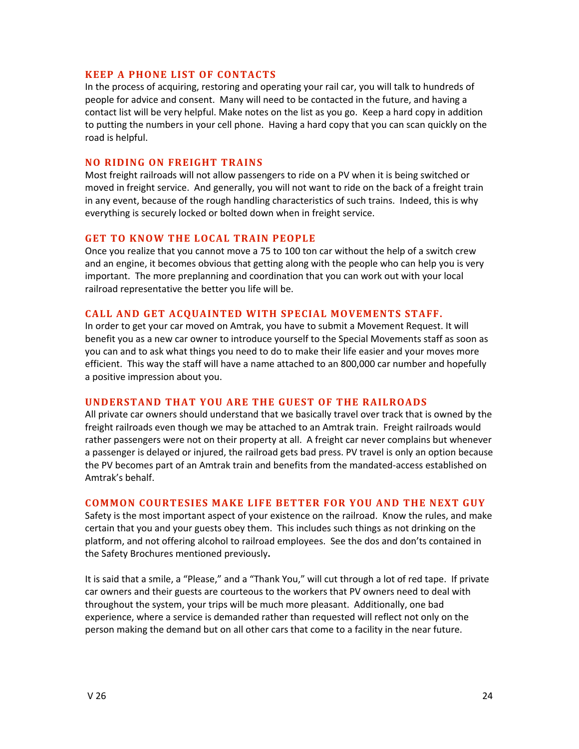## **KEEP
A
PHONE
LIST
OF
CONTACTS**

In the process of acquiring, restoring and operating your rail car, you will talk to hundreds of people for advice and consent. Many will need to be contacted in the future, and having a contact list will be very helpful. Make notes on the list as you go. Keep a hard copy in addition to putting the numbers in your cell phone. Having a hard copy that you can scan quickly on the road
is
helpful.

## **NO RIDING ON FREIGHT TRAINS**

Most freight railroads will not allow passengers to ride on a PV when it is being switched or moved in freight service. And generally, you will not want to ride on the back of a freight train in any event, because of the rough handling characteristics of such trains. Indeed, this is why everything is securely locked or bolted down when in freight service.

## GET TO KNOW THE LOCAL TRAIN PEOPLE

Once you realize that you cannot move a 75 to 100 ton car without the help of a switch crew and an engine, it becomes obvious that getting along with the people who can help you is very important. The more preplanning and coordination that you can work out with your local railroad
representative
the
better
you
life
will
be.

## CALL AND GET ACOUAINTED WITH SPECIAL MOVEMENTS STAFF.

In order to get your car moved on Amtrak, you have to submit a Movement Request. It will benefit you as a new car owner to introduce yourself to the Special Movements staff as soon as you can and to ask what things you need to do to make their life easier and your moves more efficient. This way the staff will have a name attached to an 800,000 car number and hopefully a
positive
impression
about
you.

## **UNDERSTAND
THAT
YOU
ARE
THE
GUEST
OF
THE
RA ILROADS**

All private car owners should understand that we basically travel over track that is owned by the freight railroads even though we may be attached to an Amtrak train. Freight railroads would rather passengers were not on their property at all. A freight car never complains but whenever a passenger is delayed or injured, the railroad gets bad press. PV travel is only an option because the PV becomes part of an Amtrak train and benefits from the mandated-access established on Amtrak's
behalf.

## **COMMON COURTESIES MAKE LIFE BETTER FOR YOU AND THE NEXT GUY**

Safety is the most important aspect of your existence on the railroad. Know the rules, and make certain that you and your guests obey them. This includes such things as not drinking on the platform, and not offering alcohol to railroad employees. See the dos and don'ts contained in the
Safety
Brochures
mentioned
previously**.**

It is said that a smile, a "Please," and a "Thank You," will cut through a lot of red tape. If private car owners and their guests are courteous to the workers that PV owners need to deal with throughout the system, your trips will be much more pleasant. Additionally, one bad experience, where a service is demanded rather than requested will reflect not only on the person making the demand but on all other cars that come to a facility in the near future.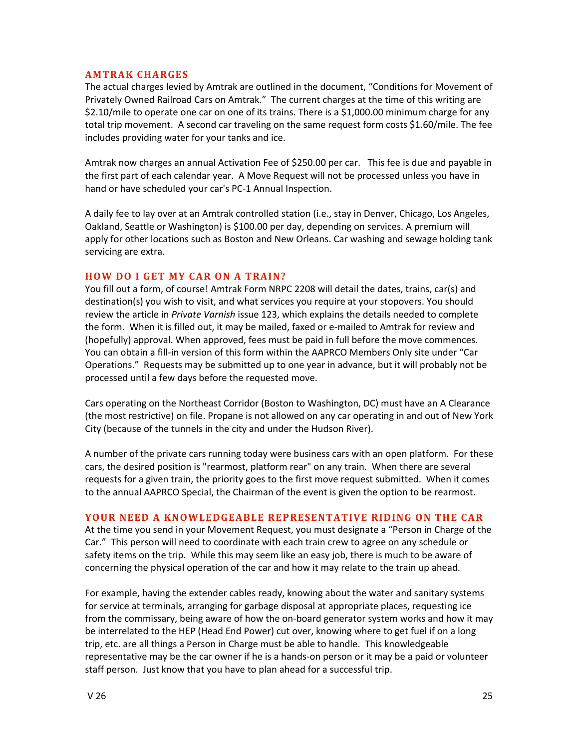#### **AMTRAK
CHARGES**

The actual charges levied by Amtrak are outlined in the document, "Conditions for Movement of Privately Owned Railroad Cars on Amtrak." The current charges at the time of this writing are \$2.10/mile to operate one car on one of its trains. There is a \$1,000.00 minimum charge for any total trip movement. A second car traveling on the same request form costs \$1.60/mile. The fee includes
providing
water
for
your
tanks
and
ice.

Amtrak now charges an annual Activation Fee of \$250.00 per car. This fee is due and payable in the first part of each calendar year. A Move Request will not be processed unless you have in hand or have scheduled your car's PC-1 Annual Inspection.

A daily fee to lay over at an Amtrak controlled station (i.e., stay in Denver, Chicago, Los Angeles, Oakland, Seattle or Washington) is \$100.00 per day, depending on services. A premium will apply for other locations such as Boston and New Orleans. Car washing and sewage holding tank servicing
are
extra.

## **HOW DO I GET MY CAR ON A TRAIN?**

You fill out a form, of course! Amtrak Form NRPC 2208 will detail the dates, trains, car(s) and destination(s) you wish to visit, and what services you require at your stopovers. You should review the article in *Private Varnish* issue 123, which explains the details needed to complete the form. When it is filled out, it may be mailed, faxed or e-mailed to Amtrak for review and (hopefully) approval. When approved, fees must be paid in full before the move commences. You can obtain a fill-in version of this form within the AAPRCO Members Only site under "Car Operations." Requests may be submitted up to one year in advance, but it will probably not be processed
until
a
few
days
before
the
requested
move.

Cars operating on the Northeast Corridor (Boston to Washington, DC) must have an A Clearance (the most restrictive) on file. Propane is not allowed on any car operating in and out of New York City (because of the tunnels in the city and under the Hudson River).

A number of the private cars running today were business cars with an open platform. For these cars, the desired position is "rearmost, platform rear" on any train. When there are several requests for a given train, the priority goes to the first move request submitted. When it comes to the annual AAPRCO Special, the Chairman of the event is given the option to be rearmost.

#### YOUR NEED A KNOWLEDGEABLE REPRESENTATIVE RIDING ON THE CAR

At the time you send in your Movement Request, you must designate a "Person in Charge of the Car." This person will need to coordinate with each train crew to agree on any schedule or safety items on the trip. While this may seem like an easy job, there is much to be aware of concerning
the
physical
operation
of
the
car
and
how
it
may
relate
to
the
train
up
ahead.

For example, having the extender cables ready, knowing about the water and sanitary systems for service at terminals, arranging for garbage disposal at appropriate places, requesting ice from the commissary, being aware of how the on-board generator system works and how it may be interrelated to the HEP (Head End Power) cut over, knowing where to get fuel if on a long trip, etc. are all things a Person in Charge must be able to handle. This knowledgeable representative may be the car owner if he is a hands-on person or it may be a paid or volunteer staff person. Just know that you have to plan ahead for a successful trip.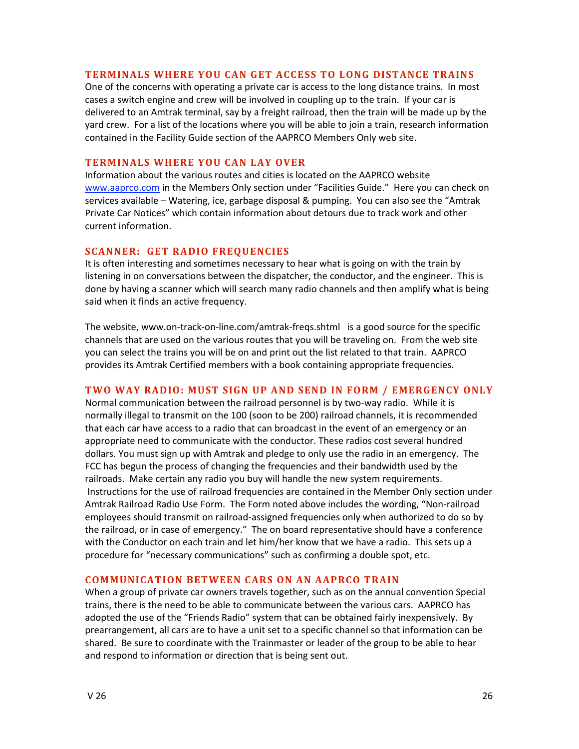#### **TERMINALS WHERE YOU CAN GET ACCESS TO LONG DISTANCE TRAINS**

One of the concerns with operating a private car is access to the long distance trains. In most cases a switch engine and crew will be involved in coupling up to the train. If your car is delivered to an Amtrak terminal, say by a freight railroad, then the train will be made up by the yard crew. For a list of the locations where you will be able to join a train, research information contained in the Facility Guide section of the AAPRCO Members Only web site.

#### **TERMINALS
WHERE
YOU
CAN
LAY
OVER**

Information about the various routes and cities is located on the AAPRCO website www.aaprco.com in the Members Only section under "Facilities Guide." Here you can check on services available – Watering, ice, garbage disposal & pumping. You can also see the "Amtrak Private Car Notices" which contain information about detours due to track work and other current
information.

## **SCANNER: GET RADIO FREQUENCIES**

It is often interesting and sometimes necessary to hear what is going on with the train by listening in on conversations between the dispatcher, the conductor, and the engineer. This is done by having a scanner which will search many radio channels and then amplify what is being said
when
it
finds
an
active
frequency.

The
website,
www.on‐track‐on‐line.com/amtrak‐freqs.shtml

is
a
good
source
for
the
specific channels that are used on the various routes that you will be traveling on. From the web site you can select the trains you will be on and print out the list related to that train. AAPRCO provides
its
Amtrak
Certified
members
with
a
book
containing
appropriate
frequencies.

## **TWO WAY RADIO: MUST SIGN UP AND SEND IN FORM / EMERGENCY ONLY**

Normal communication between the railroad personnel is by two-way radio. While it is normally illegal to transmit on the 100 (soon to be 200) railroad channels, it is recommended that each car have access to a radio that can broadcast in the event of an emergency or an appropriate need to communicate with the conductor. These radios cost several hundred dollars. You must sign up with Amtrak and pledge to only use the radio in an emergency. The FCC
has
begun
the
process
of
changing
the
frequencies
and
their
bandwidth
used
by
the railroads. Make certain any radio you buy will handle the new system requirements. Instructions for the use of railroad frequencies are contained in the Member Only section under Amtrak Railroad Radio Use Form. The Form noted above includes the wording, "Non-railroad employees should transmit on railroad-assigned frequencies only when authorized to do so by the railroad, or in case of emergency." The on board representative should have a conference with the Conductor on each train and let him/her know that we have a radio. This sets up a procedure for "necessary communications" such as confirming a double spot, etc.

## **COMMUNICATION
BETWEEN
CARS
ON
AN
AAPRCO
TRAIN**

When a group of private car owners travels together, such as on the annual convention Special trains, there is the need to be able to communicate between the various cars. AAPRCO has adopted the use of the "Friends Radio" system that can be obtained fairly inexpensively. By prearrangement, all cars are to have a unit set to a specific channel so that information can be shared. Be sure to coordinate with the Trainmaster or leader of the group to be able to hear and respond to information or direction that is being sent out.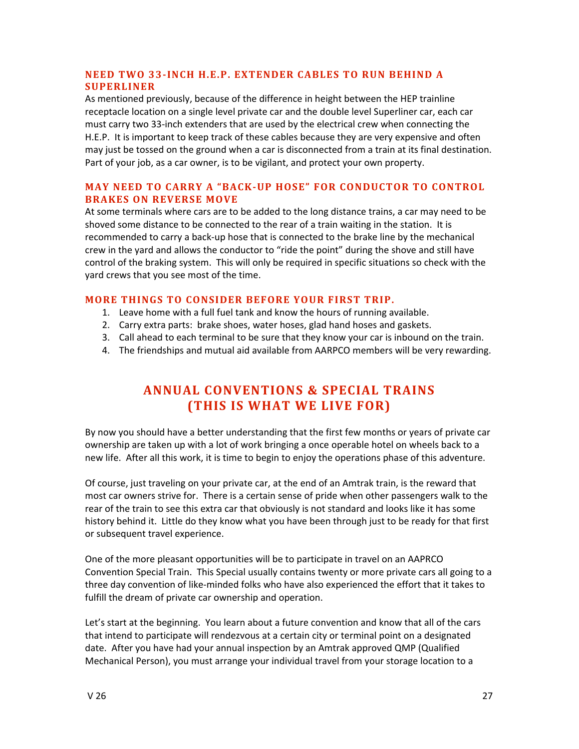## NEED TWO 33-INCH H.E.P. EXTENDER CABLES TO RUN BEHIND A **SUPERLINER**

As
mentioned
previously,
because
of
the
difference
in
height
between
the
HEP
trainline receptacle location on a single level private car and the double level Superliner car, each car must carry two 33-inch extenders that are used by the electrical crew when connecting the H.E.P. It is important to keep track of these cables because they are very expensive and often may just be tossed on the ground when a car is disconnected from a train at its final destination. Part of your job, as a car owner, is to be vigilant, and protect your own property.

## **MAY NEED TO CARRY A "BACK-UP HOSE" FOR CONDUCTOR TO CONTROL BRAKES
ON
REVERSE
MOVE**

At some terminals where cars are to be added to the long distance trains, a car may need to be shoved some distance to be connected to the rear of a train waiting in the station. It is recommended to carry a back-up hose that is connected to the brake line by the mechanical crew in the yard and allows the conductor to "ride the point" during the shove and still have control of the braking system. This will only be required in specific situations so check with the yard
crews
that
you
see
most
of
the
time.

## **MORE THINGS TO CONSIDER BEFORE YOUR FIRST TRIP.**

- 1. Leave home with a full fuel tank and know the hours of running available.
- 2. Carry
extra
parts:

brake
shoes,
water
hoses,
glad
hand
hoses
and
gaskets.
- 3. Call ahead to each terminal to be sure that they know your car is inbound on the train.
- 4. The friendships and mutual aid available from AARPCO members will be very rewarding.

# **ANNUAL
CONVENTIONS
&
SPECIAL
TRAINS (THIS
IS
WHAT
WE
LIVE
FOR)**

By now you should have a better understanding that the first few months or years of private car ownership are taken up with a lot of work bringing a once operable hotel on wheels back to a new life. After all this work, it is time to begin to enjoy the operations phase of this adventure.

Of course, just traveling on your private car, at the end of an Amtrak train, is the reward that most car owners strive for. There is a certain sense of pride when other passengers walk to the rear of the train to see this extra car that obviously is not standard and looks like it has some history behind it. Little do they know what you have been through just to be ready for that first or
subsequent
travel
experience.

One of the more pleasant opportunities will be to participate in travel on an AAPRCO Convention Special Train. This Special usually contains twenty or more private cars all going to a three day convention of like-minded folks who have also experienced the effort that it takes to fulfill the dream of private car ownership and operation.

Let's start at the beginning. You learn about a future convention and know that all of the cars that intend to participate will rendezvous at a certain city or terminal point on a designated date. After you have had your annual inspection by an Amtrak approved QMP (Qualified Mechanical Person), you must arrange your individual travel from your storage location to a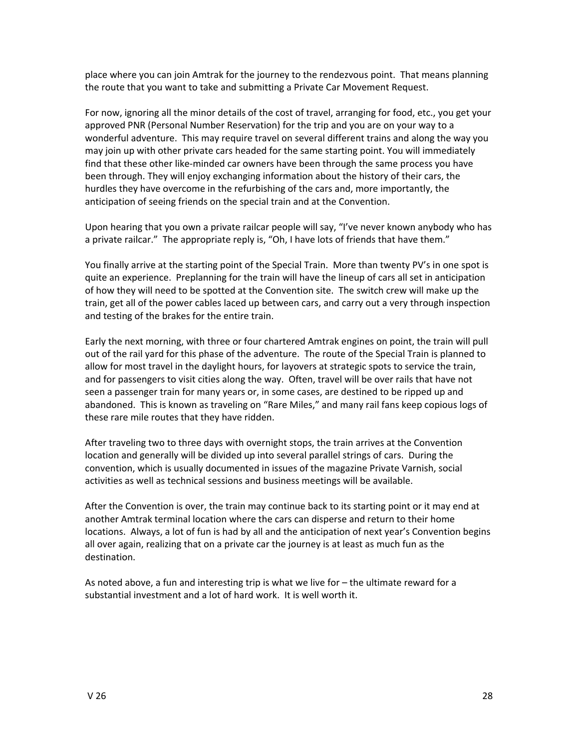place
where
you
can
join
Amtrak
for
the
journey
to
the
rendezvous
point.

That
means
planning the route that you want to take and submitting a Private Car Movement Request.

For now, ignoring all the minor details of the cost of travel, arranging for food, etc., you get your approved PNR (Personal Number Reservation) for the trip and you are on your way to a wonderful adventure. This may require travel on several different trains and along the way you may join up with other private cars headed for the same starting point. You will immediately find that these other like-minded car owners have been through the same process you have been through. They will enjoy exchanging information about the history of their cars, the hurdles they have overcome in the refurbishing of the cars and, more importantly, the anticipation
of
seeing
friends
on
the
special
train
and
at
the
Convention.

Upon hearing that you own a private railcar people will say, "I've never known anybody who has a private railcar." The appropriate reply is, "Oh, I have lots of friends that have them."

You finally arrive at the starting point of the Special Train. More than twenty PV's in one spot is quite an experience. Preplanning for the train will have the lineup of cars all set in anticipation of how they will need to be spotted at the Convention site. The switch crew will make up the train, get all of the power cables laced up between cars, and carry out a very through inspection and testing of the brakes for the entire train.

Early the next morning, with three or four chartered Amtrak engines on point, the train will pull out of the rail yard for this phase of the adventure. The route of the Special Train is planned to allow for most travel in the daylight hours, for layovers at strategic spots to service the train, and for passengers to visit cities along the way. Often, travel will be over rails that have not seen a passenger train for many years or, in some cases, are destined to be ripped up and abandoned. This is known as traveling on "Rare Miles," and many rail fans keep copious logs of these
rare
mile
routes
that
they
have
ridden.

After traveling two to three days with overnight stops, the train arrives at the Convention location and generally will be divided up into several parallel strings of cars. During the convention, which is usually documented in issues of the magazine Private Varnish, social activities
as
well
as
technical
sessions
and
business
meetings
will
be
available.

After the Convention is over, the train may continue back to its starting point or it may end at another
Amtrak
terminal
location
where
the
cars
can
disperse
and
return
to
their
home locations. Always, a lot of fun is had by all and the anticipation of next year's Convention begins all over again, realizing that on a private car the journey is at least as much fun as the destination.

As noted above, a fun and interesting trip is what we live for  $-$  the ultimate reward for a substantial investment and a lot of hard work. It is well worth it.